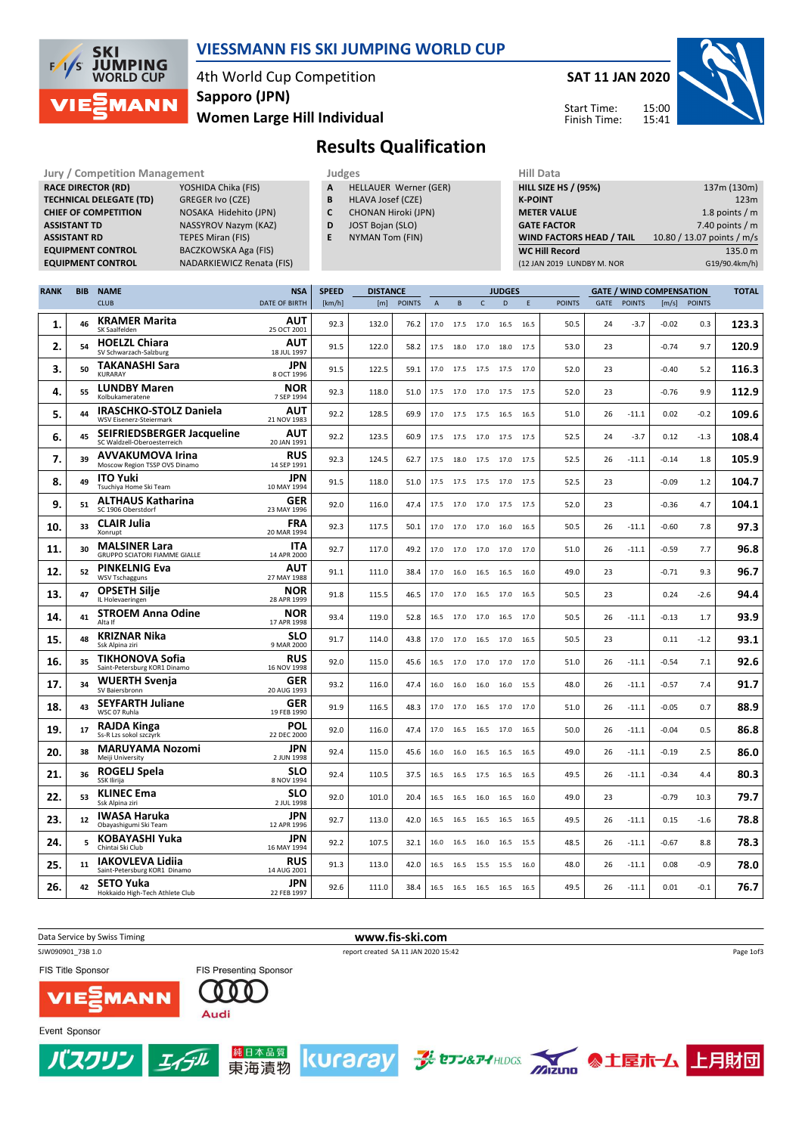

### VIESSMANN FIS SKI JUMPING WORLD CUP

4th World Cup Competition Sapporo (JPN)

Women Large Hill Individual



### Results Qualification

Jury / Competition Management **Judges** Judges Hill Data<br>
RACE DIRECTOR (RD) YOSHIDA Chika (FIS) **A** HELLAUER Werner (GER) HILL SIZE HILL SIZE RACE DIRECTOR (RD) **TECHNICAL DELEGATE (TD)** GREGER Ivo (CZE)<br> **CHIEF OF COMPETITION** NOSAKA Hidehito ASSISTANT TD NASSYROV Nazym (KAZ) **ASSISTANT RD** TEPES Miran (FIS)<br> **EQUIPMENT CONTROL** BACZKOWSKA Aga

NOSAKA Hidehito (JPN) BACZKOWSKA Aga (FIS) EQUIPMENT CONTROL NADARKIEWICZ Renata (FIS)

| A | <b>HELLAUER Werner (GER)</b> |  |
|---|------------------------------|--|

- **B** HLAVA Josef (CZE)<br>**C** CHONAN Hiroki (JF
- CHONAN Hiroki (JPN)
- D JOST Bojan (SLO)
- E NYMAN Tom (FIN)

| .                               |                            |
|---------------------------------|----------------------------|
| <b>HILL SIZE HS / (95%)</b>     | 137m (130m)                |
| <b>K-POINT</b>                  | 123m                       |
| <b>METER VALUE</b>              | 1.8 points $/m$            |
| <b>GATE FACTOR</b>              | 7.40 points $/m$           |
| <b>WIND FACTORS HEAD / TAIL</b> | 10.80 / 13.07 points / m/s |
| <b>WC Hill Record</b>           | 135.0 m                    |
| (12 JAN 2019 LUNDBY M. NOR      | G19/90.4km/h)              |
|                                 |                            |

| <b>RANK</b> | <b>BIB</b> | <b>NAME</b>                                                  | <b>NSA</b>                | <b>SPEED</b> | <b>DISTANCE</b> |               |                |      |                | <b>JUDGES</b>          |      |               |             | <b>GATE / WIND COMPENSATION</b> |         |               | <b>TOTAL</b> |
|-------------|------------|--------------------------------------------------------------|---------------------------|--------------|-----------------|---------------|----------------|------|----------------|------------------------|------|---------------|-------------|---------------------------------|---------|---------------|--------------|
|             |            | <b>CLUB</b>                                                  | DATE OF BIRTH             | [km/h]       | [m]             | <b>POINTS</b> | $\overline{A}$ | B    | $\mathsf{C}$   | D                      | E    | <b>POINTS</b> | <b>GATE</b> | <b>POINTS</b>                   | [m/s]   | <b>POINTS</b> |              |
| 1.          | 46         | <b>KRAMER Marita</b><br>SK Saalfelden                        | <b>AUT</b><br>25 OCT 2001 | 92.3         | 132.0           | 76.2          | 17.0           | 17.5 | 17.0           | 16.5                   | 16.5 | 50.5          | 24          | $-3.7$                          | $-0.02$ | 0.3           | 123.3        |
| 2.          | 54         | <b>HOELZL Chiara</b><br>SV Schwarzach-Salzburg               | AUT<br>18 JUL 1997        | 91.5         | 122.0           | 58.2          | 17.5           |      |                | 18.0 17.0 18.0 17.5    |      | 53.0          | 23          |                                 | $-0.74$ | 9.7           | 120.9        |
| 3.          | 50         | TAKANASHI Sara<br>KURARAY                                    | <b>JPN</b><br>8 OCT 1996  | 91.5         | 122.5           | 59.1          | 17.0           | 17.5 | 17.5 17.5      |                        | 17.0 | 52.0          | 23          |                                 | $-0.40$ | 5.2           | 116.3        |
| 4.          | 55         | <b>LUNDBY Maren</b><br>Kolbukameratene                       | NOR<br>7 SEP 1994         | 92.3         | 118.0           | 51.0          | 17.5           | 17.0 | 17.0           | 17.5                   | 17.5 | 52.0          | 23          |                                 | $-0.76$ | 9.9           | 112.9        |
| 5.          | 44         | <b>IRASCHKO-STOLZ Daniela</b><br>WSV Eisenerz-Steiermark     | AUT<br>21 NOV 1983        | 92.2         | 128.5           | 69.9          | 17.0           | 17.5 | 17.5           | 16.5                   | 16.5 | 51.0          | 26          | $-11.1$                         | 0.02    | $-0.2$        | 109.6        |
| 6.          | 45         | SEIFRIEDSBERGER Jacqueline<br>SC Waldzell-Oberoesterreich    | <b>AUT</b><br>20 JAN 1991 | 92.2         | 123.5           | 60.9          | 17.5           |      |                | 17.5 17.0 17.5 17.5    |      | 52.5          | 24          | $-3.7$                          | 0.12    | $-1.3$        | 108.4        |
| 7.          | 39         | <b>AVVAKUMOVA Irina</b><br>Moscow Region TSSP OVS Dinamo     | <b>RUS</b><br>14 SEP 1991 | 92.3         | 124.5           | 62.7          | 17.5           | 18.0 | 17.5           | 17.0                   | 17.5 | 52.5          | 26          | $-11.1$                         | $-0.14$ | 1.8           | 105.9        |
| 8.          | 49         | <b>ITO Yuki</b><br>Tsuchiya Home Ski Team                    | <b>JPN</b><br>10 MAY 1994 | 91.5         | 118.0           | 51.0          | 17.5           | 17.5 | 17.5           | 17.0                   | 17.5 | 52.5          | 23          |                                 | $-0.09$ | 1.2           | 104.7        |
| 9.          | 51         | <b>ALTHAUS Katharina</b><br>SC 1906 Oberstdorf               | <b>GER</b><br>23 MAY 1996 | 92.0         | 116.0           | 47.4          | 17.5           | 17.0 | 17.0 17.5      |                        | 17.5 | 52.0          | 23          |                                 | $-0.36$ | 4.7           | 104.1        |
| 10.         | 33         | <b>CLAIR Julia</b><br>Xonrupt                                | <b>FRA</b><br>20 MAR 1994 | 92.3         | 117.5           | 50.1          | 17.0           |      | 17.0 17.0 16.0 |                        | 16.5 | 50.5          | 26          | $-11.1$                         | $-0.60$ | 7.8           | 97.3         |
| 11.         | 30         | <b>MALSINER Lara</b><br><b>GRUPPO SCIATORI FIAMME GIALLE</b> | <b>ITA</b><br>14 APR 2000 | 92.7         | 117.0           | 49.2          | 17.0           | 17.0 | 17.0           | 17.0                   | 17.0 | 51.0          | 26          | $-11.1$                         | $-0.59$ | 7.7           | 96.8         |
| 12.         | 52         | <b>PINKELNIG Eva</b><br><b>WSV Tschagguns</b>                | AUT<br>27 MAY 1988        | 91.1         | 111.0           | 38.4          | 17.0           | 16.0 | 16.5           | 16.5                   | 16.0 | 49.0          | 23          |                                 | $-0.71$ | 9.3           | 96.7         |
| 13.         | 47         | <b>OPSETH Silje</b><br>IL Holevaeringen                      | <b>NOR</b><br>28 APR 1999 | 91.8         | 115.5           | 46.5          | 17.0           |      |                | 17.0  16.5  17.0  16.5 |      | 50.5          | 23          |                                 | 0.24    | $-2.6$        | 94.4         |
| 14.         | 41         | <b>STROEM Anna Odine</b><br>Alta If                          | <b>NOR</b><br>17 APR 1998 | 93.4         | 119.0           | 52.8          | 16.5           | 17.0 | 17.0           | 16.5                   | 17.0 | 50.5          | 26          | $-11.1$                         | $-0.13$ | 1.7           | 93.9         |
| 15.         | 48         | <b>KRIZNAR Nika</b><br>Ssk Alpina ziri                       | <b>SLO</b><br>9 MAR 2000  | 91.7         | 114.0           | 43.8          | 17.0           | 17.0 | 16.5           | 17.0                   | 16.5 | 50.5          | 23          |                                 | 0.11    | $-1.2$        | 93.1         |
| 16.         | 35         | <b>TIKHONOVA Sofia</b><br>Saint-Petersburg KOR1 Dinamo       | <b>RUS</b><br>16 NOV 1998 | 92.0         | 115.0           | 45.6          | 16.5           | 17.0 | 17.0           | 17.0                   | 17.0 | 51.0          | 26          | $-11.1$                         | $-0.54$ | 7.1           | 92.6         |
| 17.         | 34         | <b>WUERTH Svenja</b><br>SV Baiersbronn                       | <b>GER</b><br>20 AUG 1993 | 93.2         | 116.0           | 47.4          | 16.0           | 16.0 | 16.0           | 16.0                   | 15.5 | 48.0          | 26          | $-11.1$                         | $-0.57$ | 7.4           | 91.7         |
| 18.         | 43         | <b>SEYFARTH Juliane</b><br>WSC 07 Ruhla                      | <b>GER</b><br>19 FEB 1990 | 91.9         | 116.5           | 48.3          | 17.0           | 17.0 | 16.5           | 17.0                   | 17.0 | 51.0          | 26          | $-11.1$                         | $-0.05$ | 0.7           | 88.9         |
| 19.         | 17         | <b>RAJDA Kinga</b><br>Ss-R Lzs sokol szczyrk                 | <b>POL</b><br>22 DEC 2000 | 92.0         | 116.0           | 47.4          | 17.0           | 16.5 | 16.5           | 17.0                   | 16.5 | 50.0          | 26          | $-11.1$                         | $-0.04$ | 0.5           | 86.8         |
| 20.         | 38         | <b>MARUYAMA Nozomi</b><br>Meiji University                   | <b>JPN</b><br>2 JUN 1998  | 92.4         | 115.0           | 45.6          | 16.0           | 16.0 | 16.5           | 16.5                   | 16.5 | 49.0          | 26          | $-11.1$                         | $-0.19$ | 2.5           | 86.0         |
| 21.         | 36         | ROGELJ Spela<br><b>SSK Ilirija</b>                           | <b>SLO</b><br>8 NOV 1994  | 92.4         | 110.5           | 37.5          | 16.5           | 16.5 | 17.5           | 16.5                   | 16.5 | 49.5          | 26          | $-11.1$                         | $-0.34$ | 4.4           | 80.3         |
| 22.         | 53         | <b>KLINEC Ema</b><br>Ssk Alpina ziri                         | SLO<br>2 JUL 1998         | 92.0         | 101.0           | 20.4          | 16.5           | 16.5 | 16.0           | 16.5                   | 16.0 | 49.0          | 23          |                                 | $-0.79$ | 10.3          | 79.7         |
| 23.         | 12         | <b>IWASA Haruka</b><br>Obayashigumi Ski Team                 | <b>JPN</b><br>12 APR 1996 | 92.7         | 113.0           | 42.0          | 16.5           | 16.5 | 16.5           | 16.5                   | 16.5 | 49.5          | 26          | $-11.1$                         | 0.15    | $-1.6$        | 78.8         |
| 24.         | 5          | KOBAYASHI Yuka<br>Chintai Ski Club                           | <b>JPN</b><br>16 MAY 1994 | 92.2         | 107.5           | 32.1          | 16.0           | 16.5 | 16.0 16.5      |                        | 15.5 | 48.5          | 26          | $-11.1$                         | $-0.67$ | 8.8           | 78.3         |
| 25.         | 11         | IAKOVLEVA Lidiia<br>Saint-Petersburg KOR1 Dinamo             | <b>RUS</b><br>14 AUG 2001 | 91.3         | 113.0           | 42.0          | 16.5           | 16.5 | 15.5 15.5      |                        | 16.0 | 48.0          | 26          | $-11.1$                         | 0.08    | $-0.9$        | 78.0         |
| 26.         | 42         | <b>SETO Yuka</b><br>Hokkaido High-Tech Athlete Club          | JPN<br>22 FEB 1997        | 92.6         | 111.0           | 38.4          | 16.5           |      | 16.5 16.5 16.5 |                        | 16.5 | 49.5          | 26          | $-11.1$                         | 0.01    | $-0.1$        | 76.7         |





(スクリン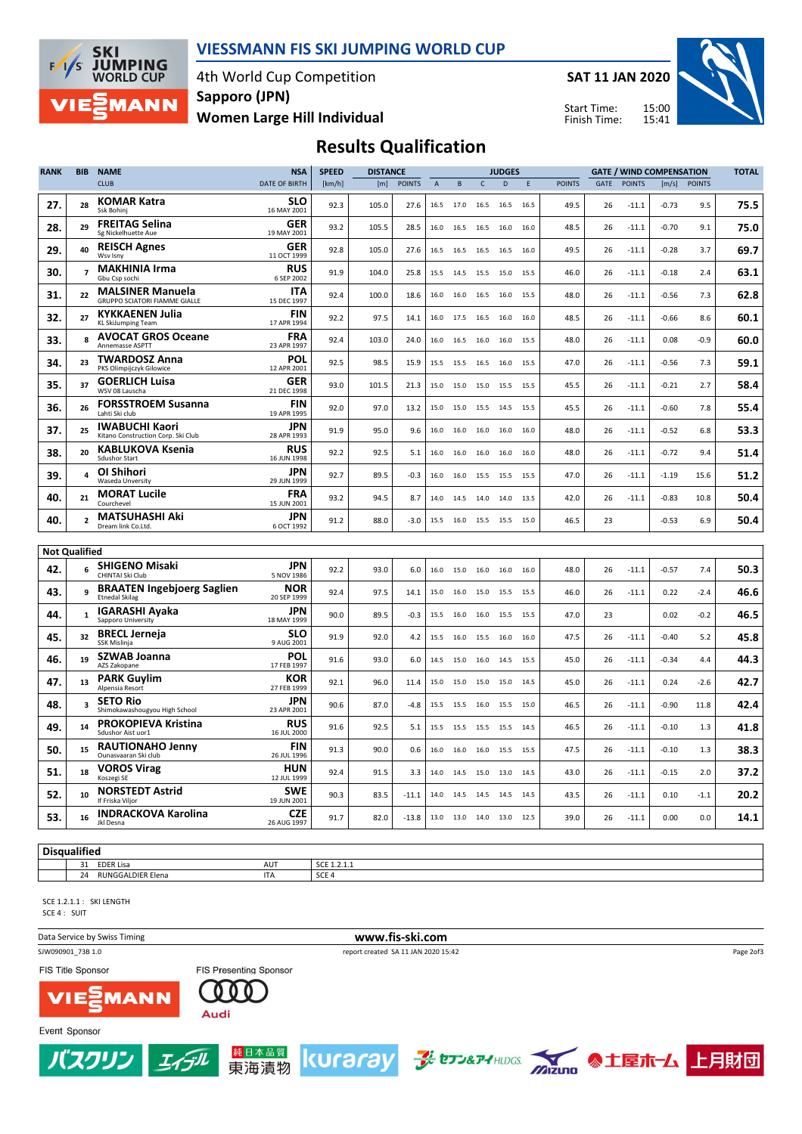

#### VIESSMANN FIS SKI JUMPING WORLD CUP

4th World Cup Competition Women Large Hill Individual Sapporo (JPN)

SAT 11 JAN 2020

Start Time: Finish Time:



# Results Qualification

| <b>RANK</b>          | <b>BIB</b>     | <b>NAME</b>                                                     | <b>NSA</b>                | <b>SPEED</b> | <b>DISTANCE</b> |               |                |           |                | <b>JUDGES</b> |             |               |      |               | <b>GATE / WIND COMPENSATION</b> |              | <b>TOTAL</b> |
|----------------------|----------------|-----------------------------------------------------------------|---------------------------|--------------|-----------------|---------------|----------------|-----------|----------------|---------------|-------------|---------------|------|---------------|---------------------------------|--------------|--------------|
|                      |                | <b>CLUB</b>                                                     | DATE OF BIRTH             | [km/h]       | [m]             | <b>POINTS</b> | $\overline{A}$ | B         | $\mathsf{C}$   | D             | $\mathsf E$ | <b>POINTS</b> | GATE | <b>POINTS</b> |                                 | [m/s] POINTS |              |
| 27.                  | 28             | <b>KOMAR Katra</b><br>Ssk Bohinj                                | <b>SLO</b><br>16 MAY 2001 | 92.3         | 105.0           | 27.6          | 16.5           | 17.0 16.5 |                | 16.5          | 16.5        | 49.5          | 26   | $-11.1$       | $-0.73$                         | 9.5          | 75.5         |
| 28.                  | 29             | <b>FREITAG Selina</b><br>Sg Nickelhuette Aue                    | GER<br>19 MAY 2001        | 93.2         | 105.5           | 28.5          | 16.0           | 16.5 16.5 |                | 16.0          | 16.0        | 48.5          | 26   | $-11.1$       | $-0.70$                         | 9.1          | 75.0         |
| 29.                  | 40             | <b>REISCH Agnes</b><br>Wsv Isnv                                 | <b>GER</b><br>11 OCT 1999 | 92.8         | 105.0           | 27.6          | 16.5           |           | 16.5 16.5      | 16.5          | 16.0        | 49.5          | 26   | $-11.1$       | $-0.28$                         | 3.7          | 69.7         |
| 30.                  | $\overline{7}$ | <b>MAKHINIA Irma</b><br>Gbu Csp sochi                           | <b>RUS</b><br>6 SEP 2002  | 91.9         | 104.0           | 25.8          | 15.5           | 14.5      | 15.5           | 15.0          | 15.5        | 46.0          | 26   | $-11.1$       | $-0.18$                         | 2.4          | 63.1         |
| 31.                  | 22             | <b>MALSINER Manuela</b><br><b>GRUPPO SCIATORI FIAMME GIALLE</b> | <b>ITA</b><br>15 DEC 1997 | 92.4         | 100.0           | 18.6          | 16.0           | 16.0      | 16.5           | 16.0          | 15.5        | 48.0          | 26   | $-11.1$       | $-0.56$                         | 7.3          | 62.8         |
| 32.                  | 27             | <b>KYKKAENEN Julia</b><br>KL SkiJumping Team                    | <b>FIN</b><br>17 APR 1994 | 92.2         | 97.5            | 14.1          | 16.0           | 17.5 16.5 |                | 16.0          | 16.0        | 48.5          | 26   | $-11.1$       | $-0.66$                         | 8.6          | 60.1         |
| 33.                  | 8              | <b>AVOCAT GROS Oceane</b><br><b>Annemasse ASPTT</b>             | <b>FRA</b><br>23 APR 1997 | 92.4         | 103.0           | 24.0          | 16.0           | 16.5      | 16.0           | 16.0          | 15.5        | 48.0          | 26   | $-11.1$       | 0.08                            | $-0.9$       | 60.0         |
| 34.                  | 23             | <b>TWARDOSZ Anna</b><br>PKS Olimpijczyk Gilowice                | <b>POL</b><br>12 APR 2001 | 92.5         | 98.5            | 15.9          | 15.5           | 15.5      | 16.5           | 16.0          | 15.5        | 47.0          | 26   | $-11.1$       | $-0.56$                         | 7.3          | 59.1         |
| 35.                  | 37             | <b>GOERLICH Luisa</b><br>WSV 08 Lauscha                         | GER<br>21 DEC 1998        | 93.0         | 101.5           | 21.3          | 15.0           | 15.0      | 15.0           | 15.5          | 15.5        | 45.5          | 26   | $-11.1$       | $-0.21$                         | 2.7          | 58.4         |
| 36.                  | 26             | <b>FORSSTROEM Susanna</b><br>Lahti Ski club                     | <b>FIN</b><br>19 APR 1995 | 92.0         | 97.0            | 13.2          | 15.0           | 15.0      | 15.5           | 14.5          | 15.5        | 45.5          | 26   | $-11.1$       | $-0.60$                         | 7.8          | 55.4         |
| 37.                  | 25             | <b>IWABUCHI Kaori</b><br>Kitano Construction Corp. Ski Club     | JPN<br>28 APR 1993        | 91.9         | 95.0            | 9.6           | 16.0           | 16.0      | 16.0           | 16.0          | 16.0        | 48.0          | 26   | $-11.1$       | $-0.52$                         | 6.8          | 53.3         |
| 38.                  | 20             | <b>KABLUKOVA Ksenia</b><br><b>Sdushor Start</b>                 | <b>RUS</b><br>16 JUN 1998 | 92.2         | 92.5            | 5.1           | 16.0           |           | 16.0 16.0 16.0 |               | 16.0        | 48.0          | 26   | $-11.1$       | $-0.72$                         | 9.4          | 51.4         |
| 39.                  | 4              | OI Shihori<br>Waseda Unversity                                  | JPN<br>29 JUN 1999        | 92.7         | 89.5            | $-0.3$        | 16.0           | 16.0 15.5 |                | 15.5          | 15.5        | 47.0          | 26   | $-11.1$       | $-1.19$                         | 15.6         | 51.2         |
| 40.                  | 21             | <b>MORAT Lucile</b><br>Courchevel                               | <b>FRA</b><br>15 JUN 2001 | 93.2         | 94.5            | 8.7           | 14.0           |           | 14.5 14.0 14.0 |               | 13.5        | 42.0          | 26   | $-11.1$       | $-0.83$                         | 10.8         | 50.4         |
| 40.                  | $\overline{2}$ | <b>MATSUHASHI Aki</b><br>Dream link Co.Ltd.                     | JPN<br>6 OCT 1992         | 91.2         | 88.0            | $-3.0$        | 15.5           | 16.0      | 15.5           | 15.5          | 15.0        | 46.5          | 23   |               | $-0.53$                         | 6.9          | 50.4         |
|                      |                |                                                                 |                           |              |                 |               |                |           |                |               |             |               |      |               |                                 |              |              |
| <b>Not Qualified</b> |                |                                                                 |                           |              |                 |               |                |           |                |               |             |               |      |               |                                 |              |              |
| 42.                  |                | <b>SHIGENO Misaki</b><br>CHINTAI Ski Club                       | <b>JPN</b><br>5 NOV 1986  | 92.2         | 93.0            | 6.0           | 16.0           | 15.0      | 16.0           | 16.0          | 16.0        | 48.0          | 26   | $-11.1$       | $-0.57$                         | 7.4          | 50.3         |
| 43.                  | 9              | <b>BRAATEN Ingebjoerg Saglien</b><br><b>Etnedal Skilag</b>      | NOR<br>20 SEP 1999        | 92.4         | 97.5            | 14.1          | 15.0           | 16.0      | 15.0           | 15.5          | 15.5        | 46.0          | 26   | $-11.1$       | 0.22                            | $-2.4$       | 46.6         |
| 44.                  | 1              | IGARASHI Ayaka<br>Sapporo University                            | JPN<br>18 MAY 1999        | 90.0         | 89.5            | -0.3          | 15.5           | 16.0      | 16.0           | 15.5          | 15.5        | 47.0          | 23   |               | 0.02                            | $-0.2$       | 46.5         |
| 45.                  | 32             | <b>BRECL Jerneja</b><br>SSK Mislinja                            | <b>SLO</b><br>9 AUG 2001  | 91.9         | 92.0            | 4.2           | 15.5           |           | 16.0 15.5 16.0 |               | 16.0        | 47.5          | 26   | $-11.1$       | $-0.40$                         | 5.2          | 45.8         |
| 46.                  | 19             | SZWAB Joanna<br>AZS Zakopane                                    | <b>POL</b><br>17 FEB 1997 | 91.6         | 93.0            | 6.0           | 14.5           | 15.0      | 16.0           | 14.5          | 15.5        | 45.0          | 26   | $-11.1$       | $-0.34$                         | 4.4          | 44.3         |
| 47.                  | 13             | <b>PARK Guylim</b><br>Alpensia Resort                           | KOR<br>27 FEB 1999        | 92.1         | 96.0            | 11.4          | 15.0           | 15.0      | 15.0           | 15.0          | 14.5        | 45.0          | 26   | $-11.1$       | 0.24                            | $-2.6$       | 42.7         |
| 48.                  | 3              | <b>SETO Rio</b><br>Shimokawashougyou High School                | JPN<br>23 APR 2001        | 90.6         | 87.0            | $-4.8$        | 15.5           | 15.5      | 16.0           | 15.5          | 15.0        | 46.5          | 26   | $-11.1$       | $-0.90$                         | 11.8         | 42.4         |
| 49.                  | 14             | <b>PROKOPIEVA Kristina</b><br>Sdushor Aist uor1                 | <b>RUS</b><br>16 JUL 2000 | 91.6         | 92.5            | 5.1           | 15.5           |           | 15.5 15.5 15.5 |               | 14.5        | 46.5          | 26   | $-11.1$       | $-0.10$                         | 1.3          | 41.8         |
| 50.                  | 15             | <b>RAUTIONAHO Jenny</b><br>Ounasvaaran Ski club                 | <b>FIN</b><br>26 JUL 1996 | 91.3         | 90.0            | 0.6           | 16.0           | 16.0      | 16.0           | 15.5          | 15.5        | 47.5          | 26   | $-11.1$       | $-0.10$                         | 1.3          | 38.3         |
| 51.                  | 18             | <b>VOROS Virag</b><br>Koszegi SE                                | <b>HUN</b><br>12 JUL 1999 | 92.4         | 91.5            | 3.3           | 14.0           |           | 14.5 15.0 13.0 |               | 14.5        | 43.0          | 26   | $-11.1$       | $-0.15$                         | 2.0          | 37.2         |
| 52.                  | 10             | <b>NORSTEDT Astrid</b><br>If Friska Viljor                      | <b>SWE</b><br>19 JUN 2001 | 90.3         | 83.5            | $-11.1$       | 14.0           | 14.5      | 14.5           | 14.5          | 14.5        | 43.5          | 26   | $-11.1$       | 0.10                            | $-1.1$       | 20.2         |
| 53.                  | 16             | <b>INDRACKOVA Karolina</b><br>Jkl Desna                         | <b>CZE</b><br>26 AUG 1997 | 91.7         | 82.0            | $-13.8$       | 13.0           | 13.0 14.0 |                | 13.0          | 12.5        | 39.0          | 26   | $-11.1$       | 0.00                            | 0.0          | 14.1         |

**Disqualified** 

| .                                                              |             |                       |
|----------------------------------------------------------------|-------------|-----------------------|
| <b>EDER Lisa</b><br>$\sim$<br><b>JI</b>                        | AUT         | SCE <sub>1</sub><br>. |
| DIER Elena<br>$\mathcal{L}$<br><b>DUMC</b><br>'nАI<br>74<br>в. | $\sim$<br>. | <b>SCE</b><br>ししし     |
|                                                                |             |                       |

SCE 1.2.1.1: SKI LENGTH SCE 4 : SUIT

Data Service by Swiss Timing **WWW.fis-ski.com** SJW090901\_73B 1.0 report created SA 11 JAN 2020 15:42 Page 2of3FIS Title Sponsor FIS Presenting Sponsor 000 **MANN** Audi Event Sponsor





 $I_4$